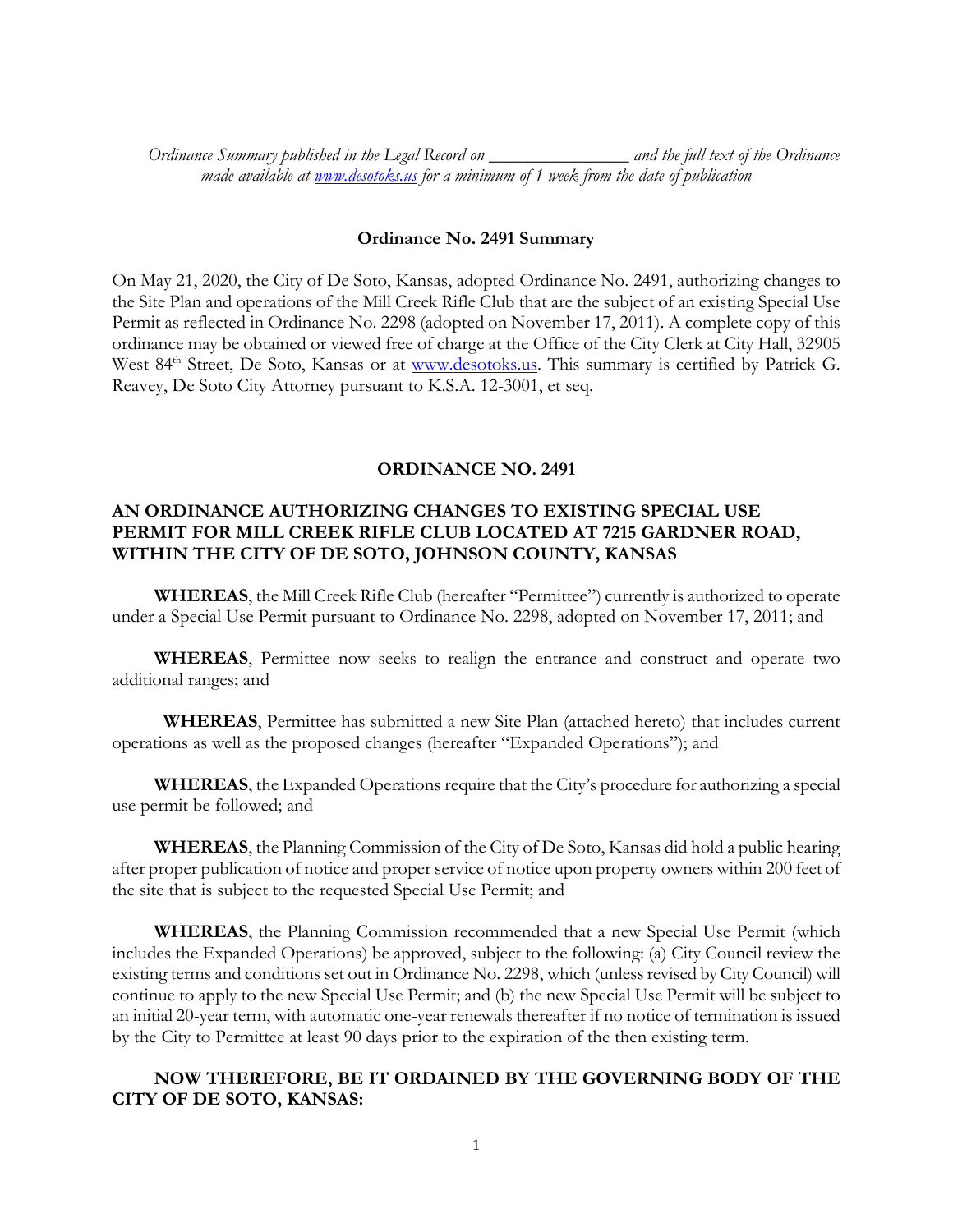*Ordinance Summary published in the Legal Record on \_\_\_\_\_\_\_\_\_\_\_\_\_\_\_ and the full text of the Ordinance made available at [www.desotoks.us](http://www.desotoks.us/) for a minimum of 1 week from the date of publication*

## **Ordinance No. 2491 Summary**

On May 21, 2020, the City of De Soto, Kansas, adopted Ordinance No. 2491, authorizing changes to the Site Plan and operations of the Mill Creek Rifle Club that are the subject of an existing Special Use Permit as reflected in Ordinance No. 2298 (adopted on November 17, 2011). A complete copy of this ordinance may be obtained or viewed free of charge at the Office of the City Clerk at City Hall, 32905 West 84<sup>th</sup> Street, De Soto, Kansas or at [www.desotoks.us.](http://www.desotoks.us/) This summary is certified by Patrick G. Reavey, De Soto City Attorney pursuant to K.S.A. 12-3001, et seq.

## **ORDINANCE NO. 2491**

## **AN ORDINANCE AUTHORIZING CHANGES TO EXISTING SPECIAL USE PERMIT FOR MILL CREEK RIFLE CLUB LOCATED AT 7215 GARDNER ROAD, WITHIN THE CITY OF DE SOTO, JOHNSON COUNTY, KANSAS**

**WHEREAS**, the Mill Creek Rifle Club (hereafter "Permittee") currently is authorized to operate under a Special Use Permit pursuant to Ordinance No. 2298, adopted on November 17, 2011; and

**WHEREAS**, Permittee now seeks to realign the entrance and construct and operate two additional ranges; and

 **WHEREAS**, Permittee has submitted a new Site Plan (attached hereto) that includes current operations as well as the proposed changes (hereafter "Expanded Operations"); and

**WHEREAS**, the Expanded Operations require that the City's procedure for authorizing a special use permit be followed; and

**WHEREAS**, the Planning Commission of the City of De Soto, Kansas did hold a public hearing after proper publication of notice and proper service of notice upon property owners within 200 feet of the site that is subject to the requested Special Use Permit; and

**WHEREAS**, the Planning Commission recommended that a new Special Use Permit (which includes the Expanded Operations) be approved, subject to the following: (a) City Council review the existing terms and conditions set out in Ordinance No. 2298, which (unless revised by City Council) will continue to apply to the new Special Use Permit; and (b) the new Special Use Permit will be subject to an initial 20-year term, with automatic one-year renewals thereafter if no notice of termination is issued by the City to Permittee at least 90 days prior to the expiration of the then existing term.

## **NOW THEREFORE, BE IT ORDAINED BY THE GOVERNING BODY OF THE CITY OF DE SOTO, KANSAS:**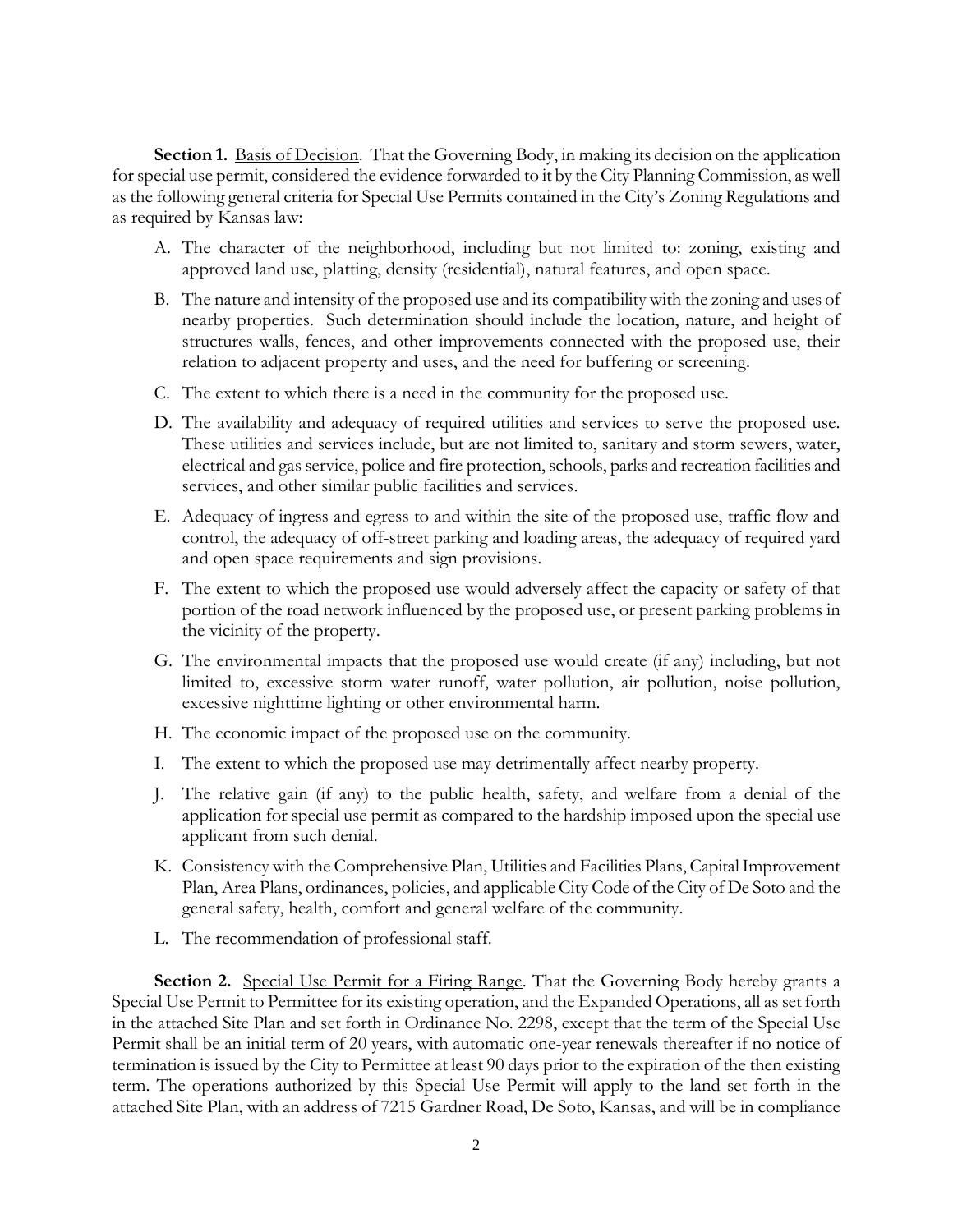**Section 1.** Basis of Decision. That the Governing Body, in making its decision on the application for special use permit, considered the evidence forwarded to it by the City Planning Commission, as well as the following general criteria for Special Use Permits contained in the City's Zoning Regulations and as required by Kansas law:

- A. The character of the neighborhood, including but not limited to: zoning, existing and approved land use, platting, density (residential), natural features, and open space.
- B. The nature and intensity of the proposed use and its compatibility with the zoning and uses of nearby properties. Such determination should include the location, nature, and height of structures walls, fences, and other improvements connected with the proposed use, their relation to adjacent property and uses, and the need for buffering or screening.
- C. The extent to which there is a need in the community for the proposed use.
- D. The availability and adequacy of required utilities and services to serve the proposed use. These utilities and services include, but are not limited to, sanitary and storm sewers, water, electrical and gas service, police and fire protection, schools, parks and recreation facilities and services, and other similar public facilities and services.
- E. Adequacy of ingress and egress to and within the site of the proposed use, traffic flow and control, the adequacy of off-street parking and loading areas, the adequacy of required yard and open space requirements and sign provisions.
- F. The extent to which the proposed use would adversely affect the capacity or safety of that portion of the road network influenced by the proposed use, or present parking problems in the vicinity of the property.
- G. The environmental impacts that the proposed use would create (if any) including, but not limited to, excessive storm water runoff, water pollution, air pollution, noise pollution, excessive nighttime lighting or other environmental harm.
- H. The economic impact of the proposed use on the community.
- I. The extent to which the proposed use may detrimentally affect nearby property.
- J. The relative gain (if any) to the public health, safety, and welfare from a denial of the application for special use permit as compared to the hardship imposed upon the special use applicant from such denial.
- K. Consistency with the Comprehensive Plan, Utilities and Facilities Plans, Capital Improvement Plan, Area Plans, ordinances, policies, and applicable City Code of the City of De Soto and the general safety, health, comfort and general welfare of the community.
- L. The recommendation of professional staff.

**Section 2.** Special Use Permit for a Firing Range. That the Governing Body hereby grants a Special Use Permit to Permittee for its existing operation, and the Expanded Operations, all as set forth in the attached Site Plan and set forth in Ordinance No. 2298, except that the term of the Special Use Permit shall be an initial term of 20 years, with automatic one-year renewals thereafter if no notice of termination is issued by the City to Permittee at least 90 days prior to the expiration of the then existing term. The operations authorized by this Special Use Permit will apply to the land set forth in the attached Site Plan, with an address of 7215 Gardner Road, De Soto, Kansas, and will be in compliance